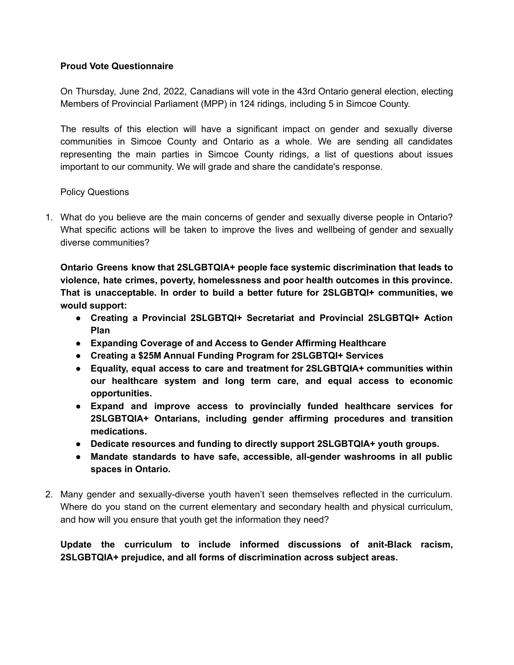### **Proud Vote Questionnaire**

On Thursday, June 2nd, 2022, Canadians will vote in the 43rd Ontario general election, electing Members of Provincial Parliament (MPP) in 124 ridings, including 5 in Simcoe County.

The results of this election will have a significant impact on gender and sexually diverse communities in Simcoe County and Ontario as a whole. We are sending all candidates representing the main parties in Simcoe County ridings, a list of questions about issues important to our community. We will grade and share the candidate's response.

#### Policy Questions

1. What do you believe are the main concerns of gender and sexually diverse people in Ontario? What specific actions will be taken to improve the lives and wellbeing of gender and sexually diverse communities?

**Ontario Greens know that 2SLGBTQIA+ people face systemic discrimination that leads to violence, hate crimes, poverty, homelessness and poor health outcomes in this province. That is unacceptable. In order to build a better future for 2SLGBTQI+ communities, we would support:**

- **● Creating a Provincial 2SLGBTQI+ Secretariat and Provincial 2SLGBTQI+ Action Plan**
- **● Expanding Coverage of and Access to Gender Affirming Healthcare**
- **● Creating a \$25M Annual Funding Program for 2SLGBTQI+ Services**
- **● Equality, equal access to care and treatment for 2SLGBTQIA+ communities within our healthcare system and long term care, and equal access to economic opportunities.**
- **● Expand and improve access to provincially funded healthcare services for 2SLGBTQIA+ Ontarians, including gender affirming procedures and transition medications.**
- **● Dedicate resources and funding to directly support 2SLGBTQIA+ youth groups.**
- **● Mandate standards to have safe, accessible, all-gender washrooms in all public spaces in Ontario.**
- 2. Many gender and sexually-diverse youth haven't seen themselves reflected in the curriculum. Where do you stand on the current elementary and secondary health and physical curriculum, and how will you ensure that youth get the information they need?

**Update the curriculum to include informed discussions of anit-Black racism, 2SLGBTQIA+ prejudice, and all forms of discrimination across subject areas.**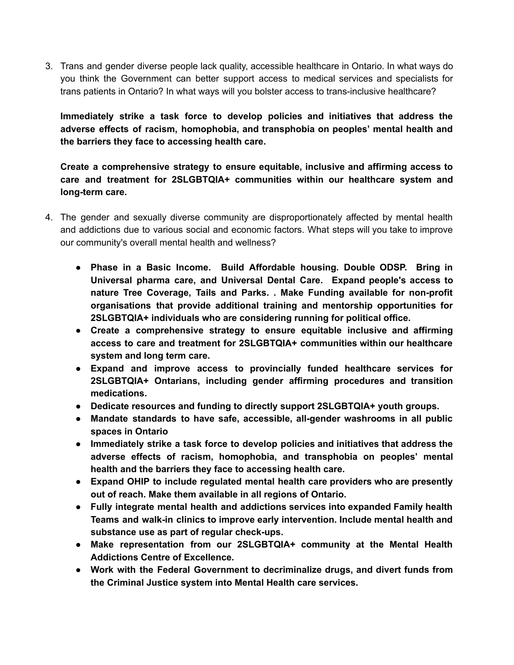3. Trans and gender diverse people lack quality, accessible healthcare in Ontario. In what ways do you think the Government can better support access to medical services and specialists for trans patients in Ontario? In what ways will you bolster access to trans-inclusive healthcare?

**Immediately strike a task force to develop policies and initiatives that address the adverse effects of racism, homophobia, and transphobia on peoples' mental health and the barriers they face to accessing health care.**

**Create a comprehensive strategy to ensure equitable, inclusive and affirming access to care and treatment for 2SLGBTQIA+ communities within our healthcare system and long-term care.**

- 4. The gender and sexually diverse community are disproportionately affected by mental health and addictions due to various social and economic factors. What steps will you take to improve our community's overall mental health and wellness?
	- **● Phase in a Basic Income. Build Affordable housing. Double ODSP. Bring in Universal pharma care, and Universal Dental Care. Expand people's access to nature Tree Coverage, Tails and Parks. . Make Funding available for non-profit organisations that provide additional training and mentorship opportunities for 2SLGBTQIA+ individuals who are considering running for political office.**
	- **● Create a comprehensive strategy to ensure equitable inclusive and affirming access to care and treatment for 2SLGBTQIA+ communities within our healthcare system and long term care.**
	- **● Expand and improve access to provincially funded healthcare services for 2SLGBTQIA+ Ontarians, including gender affirming procedures and transition medications.**
	- **● Dedicate resources and funding to directly support 2SLGBTQIA+ youth groups.**
	- **● Mandate standards to have safe, accessible, all-gender washrooms in all public spaces in Ontario**
	- **● Immediately strike a task force to develop policies and initiatives that address the adverse effects of racism, homophobia, and transphobia on peoples' mental health and the barriers they face to accessing health care.**
	- **● Expand OHIP to include regulated mental health care providers who are presently out of reach. Make them available in all regions of Ontario.**
	- **● Fully integrate mental health and addictions services into expanded Family health Teams and walk-in clinics to improve early intervention. Include mental health and substance use as part of regular check-ups.**
	- **● Make representation from our 2SLGBTQIA+ community at the Mental Health Addictions Centre of Excellence.**
	- **● Work with the Federal Government to decriminalize drugs, and divert funds from the Criminal Justice system into Mental Health care services.**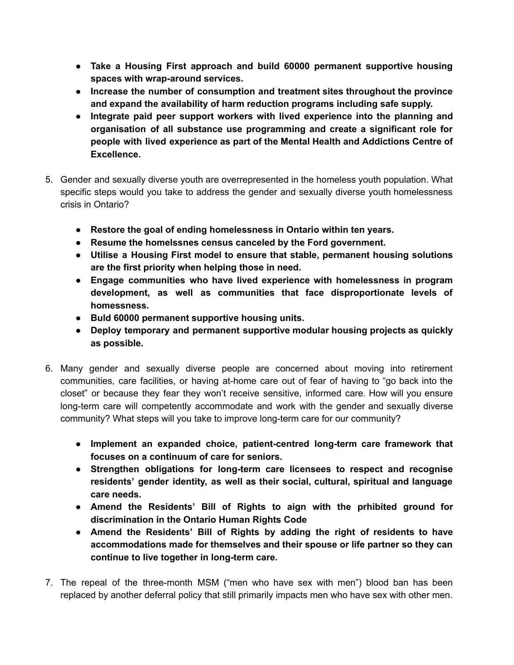- **● Take a Housing First approach and build 60000 permanent supportive housing spaces with wrap-around services.**
- **● Increase the number of consumption and treatment sites throughout the province and expand the availability of harm reduction programs including safe supply.**
- **● Integrate paid peer support workers with lived experience into the planning and organisation of all substance use programming and create a significant role for people with lived experience as part of the Mental Health and Addictions Centre of Excellence.**
- 5. Gender and sexually diverse youth are overrepresented in the homeless youth population. What specific steps would you take to address the gender and sexually diverse youth homelessness crisis in Ontario?
	- **● Restore the goal of ending homelessness in Ontario within ten years.**
	- **● Resume the homelssnes census canceled by the Ford government.**
	- **● Utilise a Housing First model to ensure that stable, permanent housing solutions are the first priority when helping those in need.**
	- **● Engage communities who have lived experience with homelessness in program development, as well as communities that face disproportionate levels of homessness.**
	- **● Buld 60000 permanent supportive housing units.**
	- **● Deploy temporary and permanent supportive modular housing projects as quickly as possible.**
- 6. Many gender and sexually diverse people are concerned about moving into retirement communities, care facilities, or having at-home care out of fear of having to "go back into the closet" or because they fear they won't receive sensitive, informed care. How will you ensure long-term care will competently accommodate and work with the gender and sexually diverse community? What steps will you take to improve long-term care for our community?
	- **● Implement an expanded choice, patient-centred long-term care framework that focuses on a continuum of care for seniors.**
	- **● Strengthen obligations for long-term care licensees to respect and recognise residents' gender identity, as well as their social, cultural, spiritual and language care needs.**
	- **● Amend the Residents' Bill of Rights to aign with the prhibited ground for discrimination in the Ontario Human Rights Code**
	- **● Amend the Residents' Bill of Rights by adding the right of residents to have accommodations made for themselves and their spouse or life partner so they can continue to live together in long-term care.**
- 7. The repeal of the three-month MSM ("men who have sex with men") blood ban has been replaced by another deferral policy that still primarily impacts men who have sex with other men.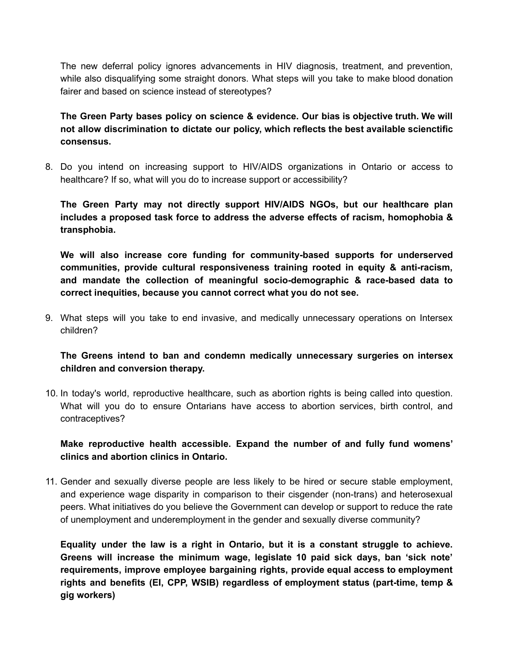The new deferral policy ignores advancements in HIV diagnosis, treatment, and prevention, while also disqualifying some straight donors. What steps will you take to make blood donation fairer and based on science instead of stereotypes?

**The Green Party bases policy on science & evidence. Our bias is objective truth. We will not allow discrimination to dictate our policy, which reflects the best available scienctific consensus.**

8. Do you intend on increasing support to HIV/AIDS organizations in Ontario or access to healthcare? If so, what will you do to increase support or accessibility?

**The Green Party may not directly support HIV/AIDS NGOs, but our healthcare plan includes a proposed task force to address the adverse effects of racism, homophobia & transphobia.**

**We will also increase core funding for community-based supports for underserved communities, provide cultural responsiveness training rooted in equity & anti-racism, and mandate the collection of meaningful socio-demographic & race-based data to correct inequities, because you cannot correct what you do not see.**

9. What steps will you take to end invasive, and medically unnecessary operations on Intersex children?

**The Greens intend to ban and condemn medically unnecessary surgeries on intersex children and conversion therapy.**

10. In today's world, reproductive healthcare, such as abortion rights is being called into question. What will you do to ensure Ontarians have access to abortion services, birth control, and contraceptives?

**Make reproductive health accessible. Expand the number of and fully fund womens' clinics and abortion clinics in Ontario.**

11. Gender and sexually diverse people are less likely to be hired or secure stable employment, and experience wage disparity in comparison to their cisgender (non-trans) and heterosexual peers. What initiatives do you believe the Government can develop or support to reduce the rate of unemployment and underemployment in the gender and sexually diverse community?

**Equality under the law is a right in Ontario, but it is a constant struggle to achieve. Greens will increase the minimum wage, legislate 10 paid sick days, ban 'sick note' requirements, improve employee bargaining rights, provide equal access to employment rights and benefits (EI, CPP, WSIB) regardless of employment status (part-time, temp & gig workers)**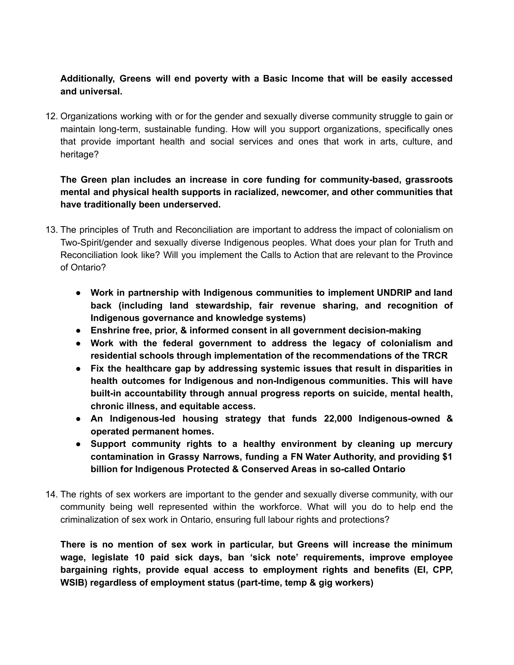# **Additionally, Greens will end poverty with a Basic Income that will be easily accessed and universal.**

12. Organizations working with or for the gender and sexually diverse community struggle to gain or maintain long-term, sustainable funding. How will you support organizations, specifically ones that provide important health and social services and ones that work in arts, culture, and heritage?

# **The Green plan includes an increase in core funding for community-based, grassroots mental and physical health supports in racialized, newcomer, and other communities that have traditionally been underserved.**

- 13. The principles of Truth and Reconciliation are important to address the impact of colonialism on Two-Spirit/gender and sexually diverse Indigenous peoples. What does your plan for Truth and Reconciliation look like? Will you implement the Calls to Action that are relevant to the Province of Ontario?
	- **● Work in partnership with Indigenous communities to implement UNDRIP and land back (including land stewardship, fair revenue sharing, and recognition of Indigenous governance and knowledge systems)**
	- **● Enshrine free, prior, & informed consent in all government decision-making**
	- **● Work with the federal government to address the legacy of colonialism and residential schools through implementation of the recommendations of the TRCR**
	- **● Fix the healthcare gap by addressing systemic issues that result in disparities in health outcomes for Indigenous and non-Indigenous communities. This will have built-in accountability through annual progress reports on suicide, mental health, chronic illness, and equitable access.**
	- **● An Indigenous-led housing strategy that funds 22,000 Indigenous-owned & operated permanent homes.**
	- **● Support community rights to a healthy environment by cleaning up mercury contamination in Grassy Narrows, funding a FN Water Authority, and providing \$1 billion for Indigenous Protected & Conserved Areas in so-called Ontario**
- 14. The rights of sex workers are important to the gender and sexually diverse community, with our community being well represented within the workforce. What will you do to help end the criminalization of sex work in Ontario, ensuring full labour rights and protections?

**There is no mention of sex work in particular, but Greens will increase the minimum wage, legislate 10 paid sick days, ban 'sick note' requirements, improve employee bargaining rights, provide equal access to employment rights and benefits (EI, CPP, WSIB) regardless of employment status (part-time, temp & gig workers)**